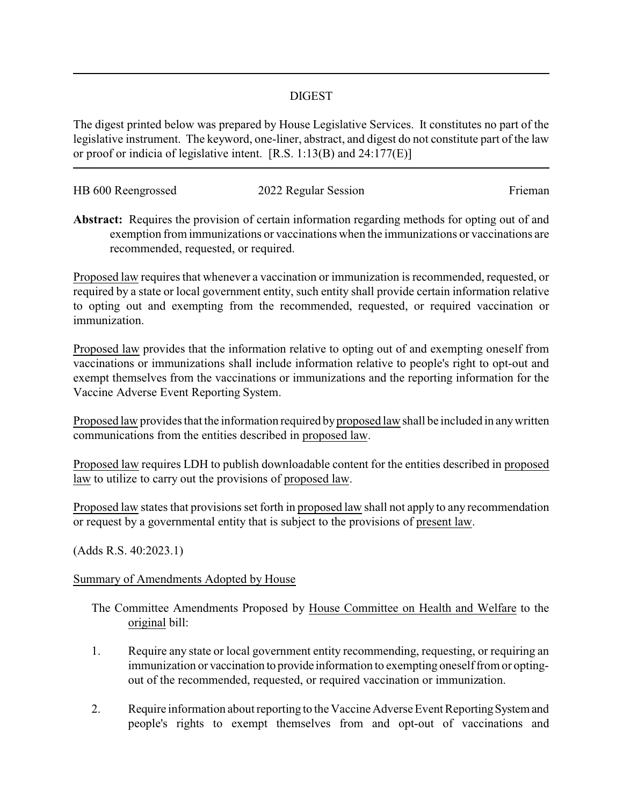## DIGEST

The digest printed below was prepared by House Legislative Services. It constitutes no part of the legislative instrument. The keyword, one-liner, abstract, and digest do not constitute part of the law or proof or indicia of legislative intent. [R.S. 1:13(B) and 24:177(E)]

| HB 600 Reengrossed | 2022 Regular Session | Frieman |
|--------------------|----------------------|---------|
|                    |                      |         |

**Abstract:** Requires the provision of certain information regarding methods for opting out of and exemption from immunizations or vaccinations when the immunizations or vaccinations are recommended, requested, or required.

Proposed law requires that whenever a vaccination or immunization is recommended, requested, or required by a state or local government entity, such entity shall provide certain information relative to opting out and exempting from the recommended, requested, or required vaccination or immunization.

Proposed law provides that the information relative to opting out of and exempting oneself from vaccinations or immunizations shall include information relative to people's right to opt-out and exempt themselves from the vaccinations or immunizations and the reporting information for the Vaccine Adverse Event Reporting System.

Proposed law provides that the information required byproposed law shall be included in anywritten communications from the entities described in proposed law.

Proposed law requires LDH to publish downloadable content for the entities described in proposed law to utilize to carry out the provisions of proposed law.

Proposed law states that provisions set forth in proposed law shall not apply to any recommendation or request by a governmental entity that is subject to the provisions of present law.

(Adds R.S. 40:2023.1)

## Summary of Amendments Adopted by House

The Committee Amendments Proposed by House Committee on Health and Welfare to the original bill:

- 1. Require any state or local government entity recommending, requesting, or requiring an immunization or vaccination to provide information to exempting oneself from or optingout of the recommended, requested, or required vaccination or immunization.
- 2. Require information about reporting to the Vaccine Adverse Event Reporting System and people's rights to exempt themselves from and opt-out of vaccinations and